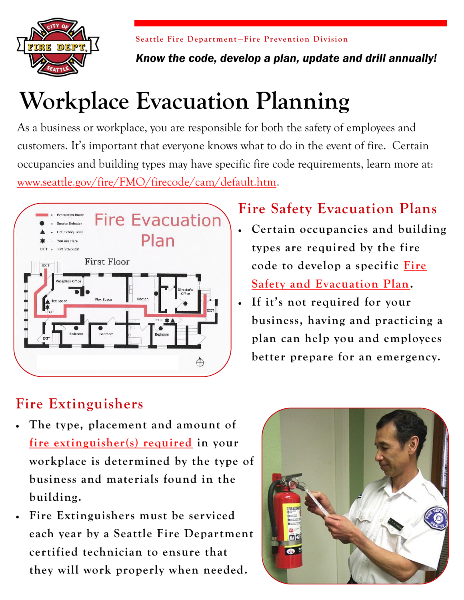

**Seattle Fire Department-Fire Prevention Division** 

*Know the code, develop a plan, update and drill annually!*

# **Workplace Evacuation Planning**

As a business or workplace, you are responsible for both the safety of employees and customers. It's important that everyone knows what to do in the event of fire. Certain occupancies and building types may have specific fire code requirements, learn more at: [www.seattle.gov/fire/FMO/firecode/cam/default.htm.](http://www.seattle.gov/fire/FMO/firecode/cam/default.htm) 



# **Fire Safety Evacuation Plans**

- **Certain occupancies and building types are required by the fire code to develop a specific [Fire](http://www.seattle.gov/fire/FMO/firecode/cam/5051CAM%20Evac%20Plans.pdf)  [Safety and Evacuation Plan.](http://www.seattle.gov/fire/FMO/firecode/cam/5051CAM%20Evac%20Plans.pdf)**
- **If it's not required for your business, having and practicing a plan can help you and employees better prepare for an emergency.**

## **Fire Extinguishers**

- **The type, placement and amount of [fire extinguisher\(s\) required](http://www.seattle.gov/fire/FMO/firecode/cam/5961CAM%20FireExtinguisher.pdf) in your workplace is determined by the type of business and materials found in the building.**
- **Fire Extinguishers must be serviced each year by a Seattle Fire Department certified technician to ensure that they will work properly when needed.**